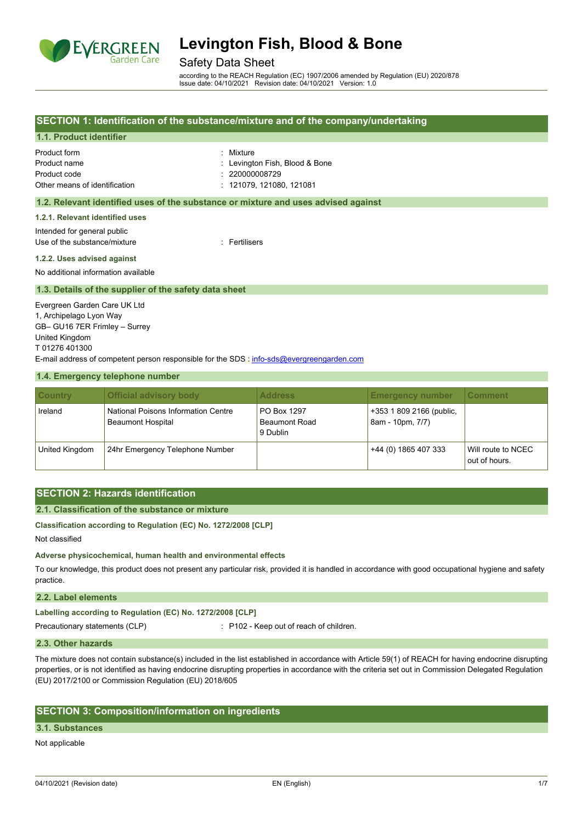

### Safety Data Sheet

according to the REACH Regulation (EC) 1907/2006 amended by Regulation (EU) 2020/878 Issue date: 04/10/2021 Revision date: 04/10/2021 Version: 1.0

### **SECTION 1: Identification of the substance/mixture and of the company/undertaking**

#### **1.1. Product identifier**

| Product form                  |  |
|-------------------------------|--|
| Product name                  |  |
| Product code                  |  |
| Other means of identification |  |

: Mixture : Levington Fish, Blood & Bone  $: 220000008729$  $: 121079. 121080. 121081$ 

#### **1.2. Relevant identified uses of the substance or mixture and uses advised against**

**1.2.1. Relevant identified uses**

Intended for general public Use of the substance/mixture in the substance of the substance of the substance of the substance of the substance of the substance of the substance of the substance of the substance of the substance of the substance of the

#### **1.2.2. Uses advised against**

No additional information available

#### **1.3. Details of the supplier of the safety data sheet**

Evergreen Garden Care UK Ltd 1, Archipelago Lyon Way GB– GU16 7ER Frimley – Surrey United Kingdom T 01276 401300 E-mail address of competent person responsible for the SDS : [info-sds@evergreengarden.com](mailto:info-sds@evergreengarden.com)

#### **1.4. Emergency telephone number**

| <b>Country</b> | <b>Official advisory body</b>                                   | <b>Address</b>                                  | <b>Emergency number</b>                      | ∣Comment∶                           |
|----------------|-----------------------------------------------------------------|-------------------------------------------------|----------------------------------------------|-------------------------------------|
| Ireland        | National Poisons Information Centre<br><b>Beaumont Hospital</b> | PO Box 1297<br><b>Beaumont Road</b><br>9 Dublin | +353 1 809 2166 (public,<br>8am - 10pm, 7/7) |                                     |
| United Kingdom | 24hr Emergency Telephone Number                                 |                                                 | +44 (0) 1865 407 333                         | Will route to NCEC<br>out of hours. |

### **SECTION 2: Hazards identification**

#### **2.1. Classification of the substance or mixture**

**Classification according to Regulation (EC) No. 1272/2008 [CLP]**

Not classified

**Adverse physicochemical, human health and environmental effects**

To our knowledge, this product does not present any particular risk, provided it is handled in accordance with good occupational hygiene and safety practice.

#### **2.2. Label elements**

**Labelling according to Regulation (EC) No. 1272/2008 [CLP]**

Precautionary statements (CLP) : P102 - Keep out of reach of children.

#### **2.3. Other hazards**

The mixture does not contain substance(s) included in the list established in accordance with Article 59(1) of REACH for having endocrine disrupting properties, or is not identified as having endocrine disrupting properties in accordance with the criteria set out in Commission Delegated Regulation (EU) 2017/2100 or Commission Regulation (EU) 2018/605

### **SECTION 3: Composition/information on ingredients**

#### **3.1. Substances**

Not applicable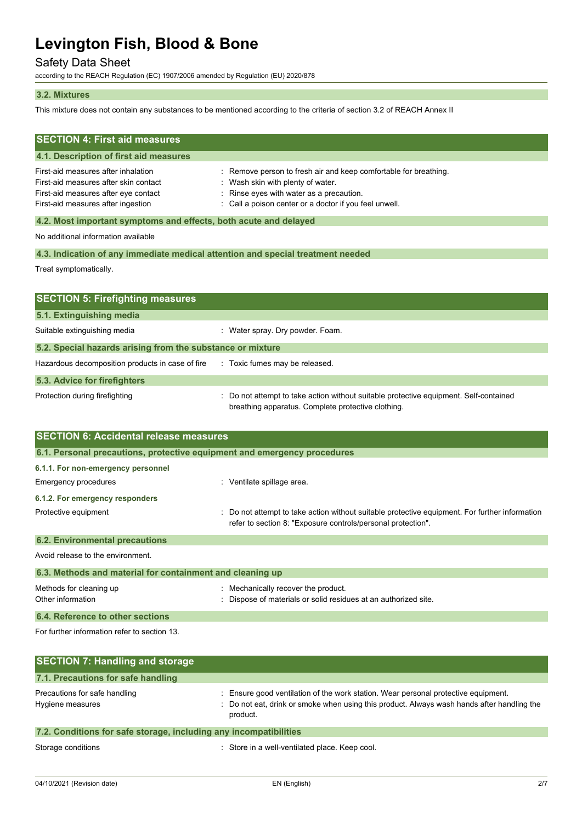# Safety Data Sheet

according to the REACH Regulation (EC) 1907/2006 amended by Regulation (EU) 2020/878

#### **3.2. Mixtures**

This mixture does not contain any substances to be mentioned according to the criteria of section 3.2 of REACH Annex II

| <b>SECTION 4: First aid measures</b><br>4.1. Description of first aid measures                                                                             |                                                                                                                                                                                                       |
|------------------------------------------------------------------------------------------------------------------------------------------------------------|-------------------------------------------------------------------------------------------------------------------------------------------------------------------------------------------------------|
| First-aid measures after inhalation<br>First-aid measures after skin contact<br>First-aid measures after eye contact<br>First-aid measures after ingestion | : Remove person to fresh air and keep comfortable for breathing.<br>Wash skin with plenty of water.<br>Rinse eyes with water as a precaution.<br>Call a poison center or a doctor if you feel unwell. |
| 4.2. Most important symptoms and effects, both acute and delayed                                                                                           |                                                                                                                                                                                                       |
| No additional information available                                                                                                                        |                                                                                                                                                                                                       |
| 4.3. Indication of any immediate medical attention and special treatment needed                                                                            |                                                                                                                                                                                                       |
| Treat symptomatically.                                                                                                                                     |                                                                                                                                                                                                       |
|                                                                                                                                                            |                                                                                                                                                                                                       |
| <b>SECTION 5: Firefighting measures</b>                                                                                                                    |                                                                                                                                                                                                       |
| 5.1. Extinguishing media                                                                                                                                   |                                                                                                                                                                                                       |
| Suitable extinguishing media                                                                                                                               | : Water spray. Dry powder. Foam.                                                                                                                                                                      |
| 5.2. Special hazards arising from the substance or mixture                                                                                                 |                                                                                                                                                                                                       |
| Hazardous decomposition products in case of fire                                                                                                           | : Toxic fumes may be released.                                                                                                                                                                        |
| 5.3. Advice for firefighters                                                                                                                               |                                                                                                                                                                                                       |
| Protection during firefighting                                                                                                                             | Do not attempt to take action without suitable protective equipment. Self-contained<br>breathing apparatus. Complete protective clothing.                                                             |
| <b>SECTION 6: Accidental release measures</b>                                                                                                              |                                                                                                                                                                                                       |
| 6.1. Personal precautions, protective equipment and emergency procedures                                                                                   |                                                                                                                                                                                                       |
| 6.1.1 For non-emergency personnel                                                                                                                          |                                                                                                                                                                                                       |

| $\mathbf{A} \mathbf{A} \mathbf{B} = \mathbf{A} \mathbf{A} + \mathbf{A} \mathbf{A} + \mathbf{A} \mathbf{A} + \mathbf{A} \mathbf{A} + \mathbf{A} \mathbf{A} + \mathbf{A} \mathbf{A} + \mathbf{A} \mathbf{A} + \mathbf{A} \mathbf{A} + \mathbf{A} \mathbf{A} + \mathbf{A} \mathbf{A} + \mathbf{A} \mathbf{A} + \mathbf{A} \mathbf{A} + \mathbf{A} \mathbf{A} + \mathbf{A} \mathbf{A} + \mathbf{A} \mathbf{A} + \mathbf{A}$ |                                                                                                                                                                |
|-------------------------------------------------------------------------------------------------------------------------------------------------------------------------------------------------------------------------------------------------------------------------------------------------------------------------------------------------------------------------------------------------------------------------|----------------------------------------------------------------------------------------------------------------------------------------------------------------|
| Protective equipment                                                                                                                                                                                                                                                                                                                                                                                                    | : Do not attempt to take action without suitable protective equipment. For further information<br>refer to section 8: "Exposure controls/personal protection". |
| 6.1.2. For emergency responders                                                                                                                                                                                                                                                                                                                                                                                         |                                                                                                                                                                |
| Emergency procedures                                                                                                                                                                                                                                                                                                                                                                                                    | $\therefore$ Ventilate spillage area.                                                                                                                          |
| <b>b.1.1. For non-emergency personnel</b>                                                                                                                                                                                                                                                                                                                                                                               |                                                                                                                                                                |

**6.2. Environmental precautions** Avoid release to the environment. **6.3. Methods and material for containment and cleaning up** Methods for cleaning up **interpretially recover the product.** Mechanically recover the product. Other information **intervals and the Contract of Materials or solid residues at an authorized site.** 

## **6.4. Reference to other sections**

For further information refer to section 13.

| <b>SECTION 7: Handling and storage</b>                            |                                                                                                                                                                                              |
|-------------------------------------------------------------------|----------------------------------------------------------------------------------------------------------------------------------------------------------------------------------------------|
| 7.1. Precautions for safe handling                                |                                                                                                                                                                                              |
| Precautions for safe handling<br>Hygiene measures                 | : Ensure good ventilation of the work station. Wear personal protective equipment.<br>: Do not eat, drink or smoke when using this product. Always wash hands after handling the<br>product. |
| 7.2. Conditions for safe storage, including any incompatibilities |                                                                                                                                                                                              |

Storage conditions **Storage conditions** : Store in a well-ventilated place. Keep cool.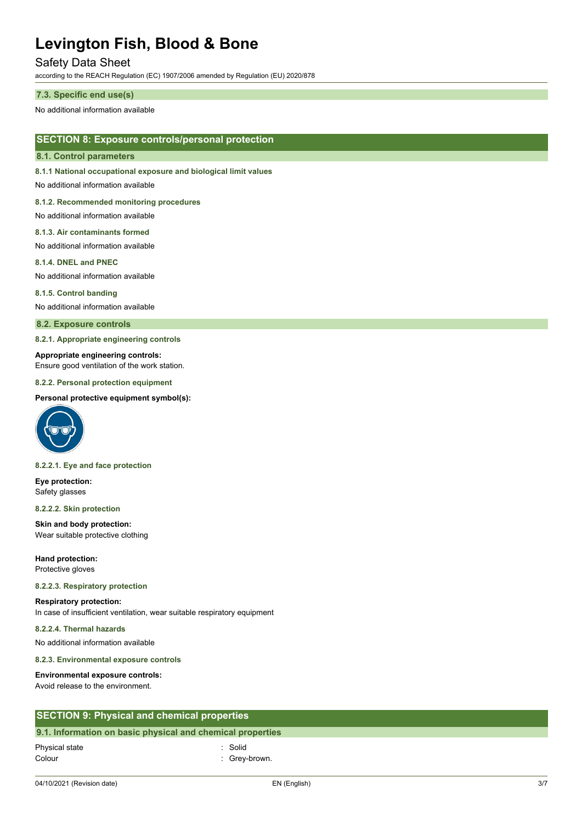## Safety Data Sheet

according to the REACH Regulation (EC) 1907/2006 amended by Regulation (EU) 2020/878

#### **7.3. Specific end use(s)**

No additional information available

### **SECTION 8: Exposure controls/personal protection**

#### **8.1. Control parameters**

**8.1.1 National occupational exposure and biological limit values**

No additional information available

#### **8.1.2. Recommended monitoring procedures**

No additional information available

#### **8.1.3. Air contaminants formed**

No additional information available

#### **8.1.4. DNEL and PNEC**

No additional information available

#### **8.1.5. Control banding**

No additional information available

#### **8.2. Exposure controls**

**8.2.1. Appropriate engineering controls**

#### **Appropriate engineering controls:**

Ensure good ventilation of the work station.

#### **8.2.2. Personal protection equipment**

#### **Personal protective equipment symbol(s):**



#### **8.2.2.1. Eye and face protection**

**Eye protection:** Safety glasses

#### **8.2.2.2. Skin protection**

**Skin and body protection:** Wear suitable protective clothing

**Hand protection:** Protective gloves

#### **8.2.2.3. Respiratory protection**

# **Respiratory protection:**

In case of insufficient ventilation, wear suitable respiratory equipment

#### **8.2.2.4. Thermal hazards**

No additional information available

#### **8.2.3. Environmental exposure controls**

#### **Environmental exposure controls:**

Avoid release to the environment.

### **SECTION 9: Physical and chemical properties**

#### **9.1. Information on basic physical and chemical properties**

04/10/2021 (Revision date) EN (English) 3/7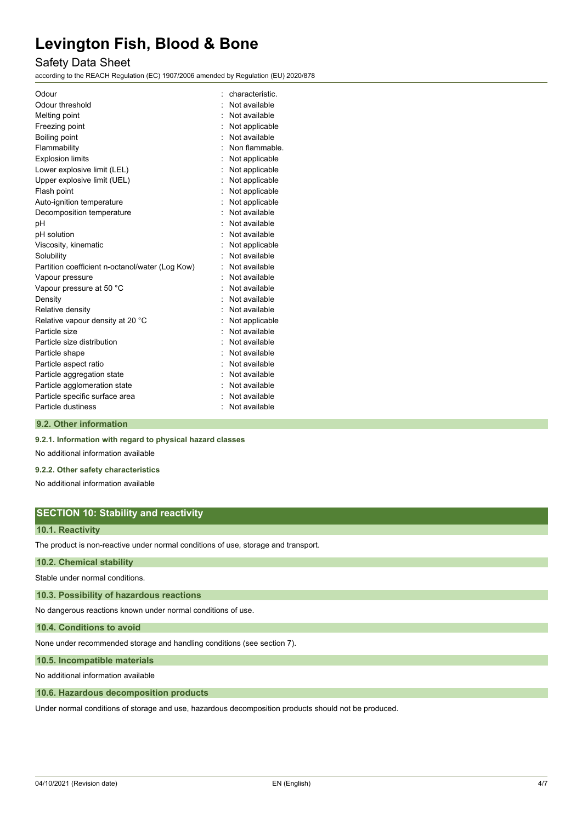# Safety Data Sheet

according to the REACH Regulation (EC) 1907/2006 amended by Regulation (EU) 2020/878

| Odour                                           | characteristic. |
|-------------------------------------------------|-----------------|
| Odour threshold                                 | Not available   |
| Melting point                                   | Not available   |
| Freezing point                                  | Not applicable  |
| Boiling point                                   | Not available   |
| Flammability                                    | Non flammable.  |
| <b>Explosion limits</b>                         | Not applicable  |
| Lower explosive limit (LEL)                     | Not applicable  |
| Upper explosive limit (UEL)                     | Not applicable  |
| Flash point                                     | Not applicable  |
| Auto-ignition temperature                       | Not applicable  |
| Decomposition temperature                       | Not available   |
| pH                                              | Not available   |
| pH solution                                     | Not available   |
| Viscosity, kinematic                            | Not applicable  |
| Solubility                                      | Not available   |
| Partition coefficient n-octanol/water (Log Kow) | Not available   |
| Vapour pressure                                 | Not available   |
| Vapour pressure at 50 °C                        | Not available   |
| Density                                         | Not available   |
| Relative density                                | Not available   |
| Relative vapour density at 20 °C                | Not applicable  |
| Particle size                                   | Not available   |
| Particle size distribution                      | Not available   |
| Particle shape                                  | Not available   |
| Particle aspect ratio                           | Not available   |
| Particle aggregation state                      | Not available   |
| Particle agglomeration state                    | Not available   |
| Particle specific surface area                  | Not available   |
| Particle dustiness                              | Not available   |
|                                                 |                 |

#### **9.2. Other information**

**9.2.1. Information with regard to physical hazard classes**

No additional information available

#### **9.2.2. Other safety characteristics**

No additional information available

# **SECTION 10: Stability and reactivity**

#### **10.1. Reactivity**

The product is non-reactive under normal conditions of use, storage and transport.

#### **10.2. Chemical stability**

Stable under normal conditions.

**10.3. Possibility of hazardous reactions**

No dangerous reactions known under normal conditions of use.

**10.4. Conditions to avoid**

None under recommended storage and handling conditions (see section 7).

**10.5. Incompatible materials**

No additional information available

#### **10.6. Hazardous decomposition products**

Under normal conditions of storage and use, hazardous decomposition products should not be produced.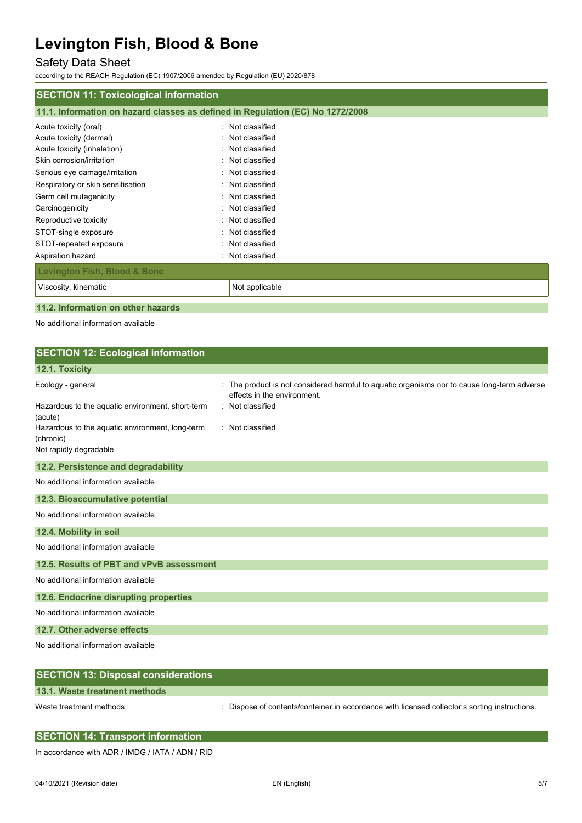# Safety Data Sheet

according to the REACH Regulation (EC) 1907/2006 amended by Regulation (EU) 2020/878

| 11.1. Information on hazard classes as defined in Regulation (EC) No 1272/2008 |  |  |  |
|--------------------------------------------------------------------------------|--|--|--|
| Not classified<br>٠                                                            |  |  |  |
| Not classified<br>۰.                                                           |  |  |  |
| Not classified<br>۰.                                                           |  |  |  |
| Not classified<br>÷.                                                           |  |  |  |
| Not classified<br>÷.                                                           |  |  |  |
| : Not classified                                                               |  |  |  |
| Not classified<br>۰.                                                           |  |  |  |
| Not classified<br>۰.                                                           |  |  |  |
| Not classified<br>۰.                                                           |  |  |  |
| Not classified                                                                 |  |  |  |
| Not classified<br>$\bullet$                                                    |  |  |  |
| Not classified                                                                 |  |  |  |
|                                                                                |  |  |  |
| Not applicable                                                                 |  |  |  |
|                                                                                |  |  |  |

# **11.2. Information on other hazards**

No additional information available

| <b>SECTION 12: Ecological information</b>                                              |                                                                                                                          |
|----------------------------------------------------------------------------------------|--------------------------------------------------------------------------------------------------------------------------|
| 12.1. Toxicity                                                                         |                                                                                                                          |
| Ecology - general                                                                      | The product is not considered harmful to aquatic organisms nor to cause long-term adverse<br>effects in the environment. |
| Hazardous to the aquatic environment, short-term<br>(acute)                            | : Not classified                                                                                                         |
| Hazardous to the aquatic environment, long-term<br>(chronic)<br>Not rapidly degradable | : Not classified                                                                                                         |
| 12.2. Persistence and degradability                                                    |                                                                                                                          |
| No additional information available                                                    |                                                                                                                          |
| 12.3. Bioaccumulative potential                                                        |                                                                                                                          |
| No additional information available                                                    |                                                                                                                          |
| 12.4. Mobility in soil                                                                 |                                                                                                                          |
| No additional information available                                                    |                                                                                                                          |
| 12.5. Results of PBT and vPvB assessment                                               |                                                                                                                          |
| No additional information available                                                    |                                                                                                                          |
| 12.6. Endocrine disrupting properties                                                  |                                                                                                                          |
| No additional information available                                                    |                                                                                                                          |
| 12.7. Other adverse effects                                                            |                                                                                                                          |
| No additional information available                                                    |                                                                                                                          |
| <b>SECTION 13: Disposal considerations</b>                                             |                                                                                                                          |
| 13.1. Waste treatment methods                                                          |                                                                                                                          |

Waste treatment methods : Dispose of contents/container in accordance with licensed collector's sorting instructions.

| <b>SECTION 14: Transport information</b> |  |  |  |
|------------------------------------------|--|--|--|
|                                          |  |  |  |

In accordance with ADR / IMDG / IATA / ADN / RID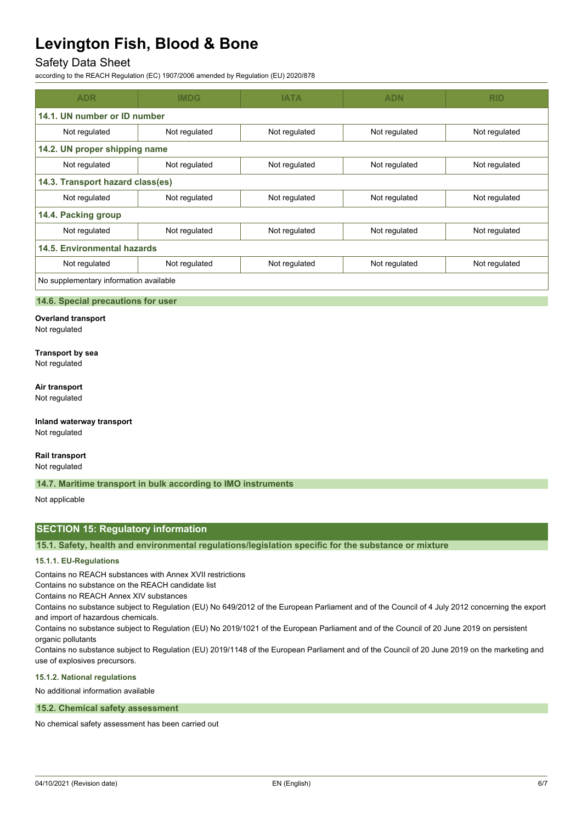# Safety Data Sheet

according to the REACH Regulation (EC) 1907/2006 amended by Regulation (EU) 2020/878

| <b>ADR</b>                             | <b>IMDG</b>   | <b>IATA</b>   | <b>ADN</b>    | <b>RID</b>    |  |
|----------------------------------------|---------------|---------------|---------------|---------------|--|
| 14.1. UN number or ID number           |               |               |               |               |  |
| Not regulated                          | Not regulated | Not regulated | Not regulated | Not regulated |  |
| 14.2. UN proper shipping name          |               |               |               |               |  |
| Not regulated                          | Not regulated | Not regulated | Not regulated | Not regulated |  |
| 14.3. Transport hazard class(es)       |               |               |               |               |  |
| Not regulated                          | Not regulated | Not regulated | Not regulated | Not regulated |  |
| 14.4. Packing group                    |               |               |               |               |  |
| Not regulated                          | Not regulated | Not regulated | Not regulated | Not regulated |  |
| 14.5. Environmental hazards            |               |               |               |               |  |
| Not regulated                          | Not regulated | Not regulated | Not regulated | Not regulated |  |
| No supplementary information available |               |               |               |               |  |

#### **14.6. Special precautions for user**

**Overland transport** Not regulated

# **Transport by sea**

Not regulated

#### **Air transport**

Not regulated

#### **Inland waterway transport** Not regulated

**Rail transport**

Not regulated

#### **14.7. Maritime transport in bulk according to IMO instruments**

Not applicable

### **SECTION 15: Regulatory information**

**15.1. Safety, health and environmental regulations/legislation specific for the substance or mixture**

#### **15.1.1. EU-Regulations**

Contains no REACH substances with Annex XVII restrictions

Contains no substance on the REACH candidate list

Contains no REACH Annex XIV substances

Contains no substance subject to Regulation (EU) No 649/2012 of the European Parliament and of the Council of 4 July 2012 concerning the export and import of hazardous chemicals.

Contains no substance subject to Regulation (EU) No 2019/1021 of the European Parliament and of the Council of 20 June 2019 on persistent organic pollutants

Contains no substance subject to Regulation (EU) 2019/1148 of the European Parliament and of the Council of 20 June 2019 on the marketing and use of explosives precursors.

#### **15.1.2. National regulations**

No additional information available

#### **15.2. Chemical safety assessment**

No chemical safety assessment has been carried out